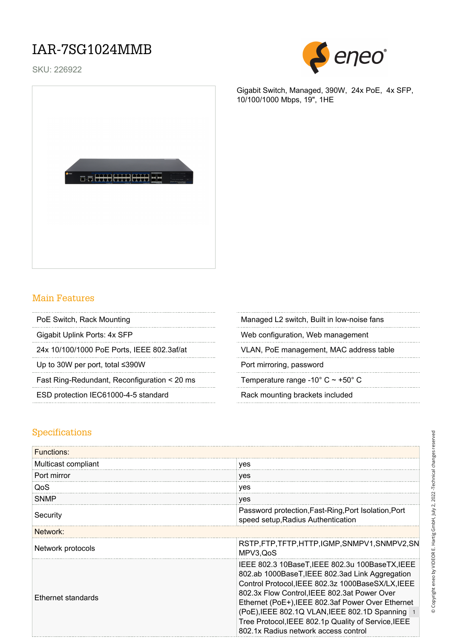### IAR-7SG1024MMB

SKU: 226922



Gigabit Switch, Managed, 390W, 24x PoE, 4x SFP, 10/100/1000 Mbps, 19", 1HE



- 
- 

**a. HHHHH** 

Up to 30W per port, total ≤390W Port mirroring, password

Fast Ring-Redundant, Reconfiguration < 20 ms Temperature range -10° C ~ +50° C

ESD protection IEC61000-4-5 standard Rack mounting brackets included

PoE Switch, Rack Mounting Managed L2 switch, Built in low-noise fans

Gigabit Uplink Ports: 4x SFP Web configuration, Web management

24x 10/100/1000 PoE Ports, IEEE 802.3af/at VLAN, PoE management, MAC address table

#### Specifications

| <b>Functions:</b>         |                                                                                                                                                                                                                                                                                                                                                                                                                |  |
|---------------------------|----------------------------------------------------------------------------------------------------------------------------------------------------------------------------------------------------------------------------------------------------------------------------------------------------------------------------------------------------------------------------------------------------------------|--|
| Multicast compliant       | yes                                                                                                                                                                                                                                                                                                                                                                                                            |  |
| Port mirror               | yes                                                                                                                                                                                                                                                                                                                                                                                                            |  |
| QoS                       | yes                                                                                                                                                                                                                                                                                                                                                                                                            |  |
| <b>SNMP</b>               | yes                                                                                                                                                                                                                                                                                                                                                                                                            |  |
| Security                  | Password protection, Fast-Ring, Port Isolation, Port<br>speed setup, Radius Authentication                                                                                                                                                                                                                                                                                                                     |  |
| Network:                  |                                                                                                                                                                                                                                                                                                                                                                                                                |  |
| Network protocols         | RSTP,FTP,TFTP,HTTP,IGMP,SNMPV1,SNMPV2,SN<br>MPV3, QoS                                                                                                                                                                                                                                                                                                                                                          |  |
| <b>Ethernet standards</b> | IEEE 802.3 10BaseT, IEEE 802.3u 100BaseTX, IEEE<br>802.ab 1000BaseT, IEEE 802.3ad Link Aggregation<br>Control Protocol, IEEE 802.3z 1000BaseSX/LX, IEEE<br>802.3x Flow Control, IEEE 802.3at Power Over<br>Ethernet (PoE+), IEEE 802.3af Power Over Ethernet<br>(PoE), IEEE 802.1Q VLAN, IEEE 802.1D Spanning 1<br>Tree Protocol, IEEE 802.1p Quality of Service, IEEE<br>802.1x Radius network access control |  |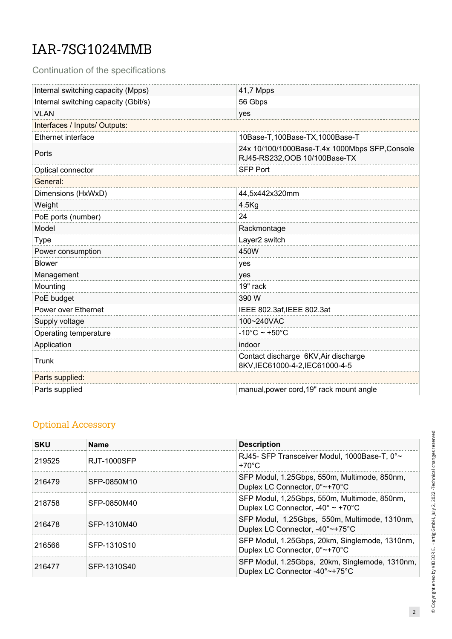# IAR-7SG1024MMB

Continuation of the specifications

| Internal switching capacity (Mpps)   | 41,7 Mpps                                                                       |  |
|--------------------------------------|---------------------------------------------------------------------------------|--|
| Internal switching capacity (Gbit/s) | 56 Gbps                                                                         |  |
| <b>VLAN</b>                          | yes                                                                             |  |
| Interfaces / Inputs/ Outputs:        |                                                                                 |  |
| <b>Ethernet interface</b>            | 10Base-T,100Base-TX,1000Base-T                                                  |  |
| Ports                                | 24x 10/100/1000Base-T,4x 1000Mbps SFP, Console<br>RJ45-RS232, OOB 10/100Base-TX |  |
| Optical connector                    | <b>SFP Port</b>                                                                 |  |
| General:                             |                                                                                 |  |
| Dimensions (HxWxD)                   | 44,5x442x320mm                                                                  |  |
| Weight                               | $4.5$ Kg                                                                        |  |
| PoE ports (number)                   | 24                                                                              |  |
| Model                                | Rackmontage                                                                     |  |
| <b>Type</b>                          | Layer2 switch                                                                   |  |
| Power consumption                    | 450W                                                                            |  |
| <b>Blower</b>                        | yes                                                                             |  |
| Management                           | yes                                                                             |  |
| Mounting                             | 19" rack                                                                        |  |
| PoE budget                           | 390 W                                                                           |  |
| Power over Ethernet                  | IEEE 802.3af, IEEE 802.3at                                                      |  |
| Supply voltage                       | 100~240VAC                                                                      |  |
| Operating temperature                | $-10^{\circ}$ C ~ +50 $^{\circ}$ C                                              |  |
| Application                          | indoor                                                                          |  |
| Trunk                                | Contact discharge 6KV, Air discharge<br>8KV,IEC61000-4-2,IEC61000-4-5           |  |
| Parts supplied:                      |                                                                                 |  |
| Parts supplied                       | manual, power cord, 19" rack mount angle                                        |  |

#### Optional Accessory

| <b>SKU</b> | <b>Name</b> | <b>Description</b>                                                                                    |
|------------|-------------|-------------------------------------------------------------------------------------------------------|
| 219525     | RJT-1000SFP | RJ45- SFP Transceiver Modul, 1000Base-T, 0°~<br>$+70^{\circ}$ C                                       |
| 216479     | SFP-0850M10 | SFP Modul, 1.25Gbps, 550m, Multimode, 850nm,<br>Duplex LC Connector, 0°~+70°C                         |
| 218758     | SFP-0850M40 | SFP Modul, 1,25Gbps, 550m, Multimode, 850nm,<br>Duplex LC Connector, $-40^{\circ} \sim +70^{\circ}$ C |
| 216478     | SFP-1310M40 | SFP Modul, 1.25Gbps, 550m, Multimode, 1310nm,<br>Duplex LC Connector, -40°~+75°C                      |
| 216566     | SFP-1310S10 | SFP Modul, 1.25Gbps, 20km, Singlemode, 1310nm,<br>Duplex LC Connector, 0°~+70°C                       |
| 216477     | SFP-1310S40 | SFP Modul, 1.25Gbps, 20km, Singlemode, 1310nm,<br>Duplex LC Connector -40°~+75°C                      |